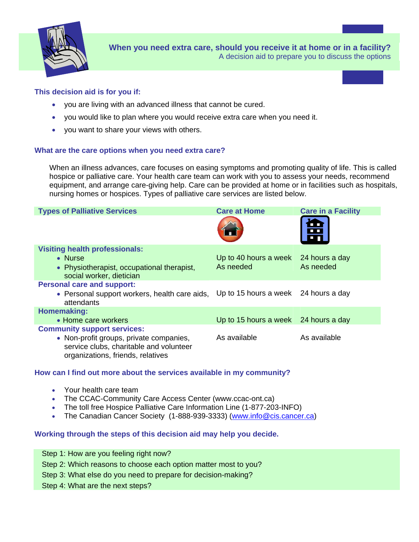

**When you need extra care, should you receive it at home or in a facility?**  A decision aid to prepare you to discuss the options

### **This decision aid is for you if:**

- you are living with an advanced illness that cannot be cured.
- you would like to plan where you would receive extra care when you need it.
- you want to share your views with others.

#### **What are the care options when you need extra care?**

When an illness advances, care focuses on easing symptoms and promoting quality of life. This is called hospice or palliative care. Your health care team can work with you to assess your needs, recommend equipment, and arrange care-giving help. Care can be provided at home or in facilities such as hospitals, nursing homes or hospices. Types of palliative care services are listed below.

| <b>Types of Palliative Services</b>                                                                                     | <b>Care at Home</b>                  | <b>Care in a Facility</b> |
|-------------------------------------------------------------------------------------------------------------------------|--------------------------------------|---------------------------|
|                                                                                                                         |                                      |                           |
| <b>Visiting health professionals:</b>                                                                                   |                                      |                           |
| $\bullet$ Nurse                                                                                                         | Up to 40 hours a week 24 hours a day |                           |
| • Physiotherapist, occupational therapist,                                                                              | As needed                            | As needed                 |
| social worker, dietician                                                                                                |                                      |                           |
| <b>Personal care and support:</b>                                                                                       |                                      |                           |
| • Personal support workers, health care aids,<br>attendants                                                             | Up to 15 hours a week 24 hours a day |                           |
| Homemaking:                                                                                                             |                                      |                           |
| • Home care workers                                                                                                     | Up to 15 hours a week 24 hours a day |                           |
| <b>Community support services:</b>                                                                                      |                                      |                           |
| • Non-profit groups, private companies,<br>service clubs, charitable and volunteer<br>organizations, friends, relatives | As available                         | As available              |

### **How can I find out more about the services available in my community?**

- Your health care team
- The CCAC-Community Care Access Center (www.ccac-ont.ca)
- The toll free Hospice Palliative Care Information Line (1-877-203-INFO)
- The Canadian Cancer Society (1-888-939-3333) [\(www.info@cis.cancer.ca](http://www.info@cis.cancer.ca/))

### **Working through the steps of this decision aid may help you decide.**

| Step 1: How are you feeling right now?                          |
|-----------------------------------------------------------------|
| Step 2: Which reasons to choose each option matter most to you? |
| Step 3: What else do you need to prepare for decision-making?   |
| Step 4: What are the next steps?                                |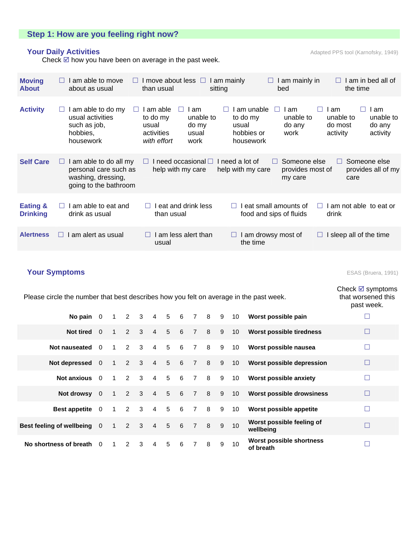# **Step 1: How are you feeling right now?**

# **Your Daily Activities Adapted PPS tool (Karnofsky, 1949)** Adapted PPS tool (Karnofsky, 1949)

Check  $\boxtimes$  how you have been on average in the past week.

| <b>Moving</b><br><b>About</b>          | am able to move<br>$\Box$<br>about as usual                                                            | I move about less $\Box$<br>than usual                                                                     | I am mainly in<br>I am mainly<br>ш<br>sitting<br>bed                                                       | am in bed all of<br>$\perp$<br>the time                                                                             |  |
|----------------------------------------|--------------------------------------------------------------------------------------------------------|------------------------------------------------------------------------------------------------------------|------------------------------------------------------------------------------------------------------------|---------------------------------------------------------------------------------------------------------------------|--|
| <b>Activity</b>                        | am able to do my<br>usual activities<br>such as job,<br>hobbies,<br>housework                          | I am able<br>I am<br>to do my<br>unable to<br>usual<br>do my<br>activities<br>usual<br>with effort<br>work | am unable<br>I am<br>$\Box$<br>to do my<br>unable to<br>do any<br>usual<br>hobbies or<br>work<br>housework | l am<br>I am<br>$\mathbf{L}$<br>$\mathbf{L}$<br>unable to<br>unable to<br>do most<br>do any<br>activity<br>activity |  |
| <b>Self Care</b>                       | am able to do all my<br>$\Box$<br>personal care such as<br>washing, dressing,<br>going to the bathroom | I need occasional $\square$<br>help with my care                                                           | Someone else<br>need a lot of<br>$\Box$<br>help with my care<br>provides most of<br>my care                | Someone else<br>$\Box$<br>provides all of my<br>care                                                                |  |
| <b>Eating &amp;</b><br><b>Drinking</b> | am able to eat and<br>drink as usual                                                                   | I eat and drink less<br>$\Box$<br>than usual                                                               | eat small amounts of<br>food and sips of fluids                                                            | I am not able to eat or<br>drink                                                                                    |  |
| <b>Alertness</b>                       | am alert as usual<br>H                                                                                 | I am less alert than<br>usual                                                                              | I am drowsy most of<br>the time                                                                            | I sleep all of the time<br>Ш                                                                                        |  |

# **Your Symptoms** ESAS (Bruera, 1991)

| Please circle the number that best describes how you felt on average in the past week. |          |                  |             |                         |                   |                 |                 |                | Check $\boxtimes$ symptoms<br>that worsened this<br>past week. |   |    |                                        |        |
|----------------------------------------------------------------------------------------|----------|------------------|-------------|-------------------------|-------------------|-----------------|-----------------|----------------|----------------------------------------------------------------|---|----|----------------------------------------|--------|
| No pain $0$                                                                            |          | $\overline{1}$   | $2 \quad 3$ |                         | $4\quad 5\quad 6$ |                 |                 | 7 8            |                                                                | 9 | 10 | Worst possible pain                    | ⊏      |
| <b>Not tired</b>                                                                       | $\Omega$ | $\mathbf{1}$     | $2 \quad 3$ |                         | $\overline{4}$    | 5 <sup>5</sup>  | 6               | $\sqrt{7}$     | 8                                                              | 9 |    | 10 Worst possible tiredness            | $\Box$ |
| Not nauseated 0                                                                        |          | $\overline{1}$   | 2           | $\overline{\mathbf{3}}$ | $\overline{4}$    | $5\overline{5}$ | 6               | $7\overline{}$ | 8                                                              | 9 | 10 | Worst possible nausea                  | $\Box$ |
| Not depressed 0                                                                        |          | $\overline{1}$   | $2 \quad 3$ |                         | $4\quad 5$        |                 | $6\overline{6}$ | $\overline{7}$ | 8                                                              | 9 |    | 10 Worst possible depression           | $\Box$ |
| Not anxious 0                                                                          |          | $\overline{1}$   | $2 \quad 3$ |                         | $4\quad 5$        |                 | $6\overline{6}$ | $7\overline{}$ | 8                                                              | 9 | 10 | <b>Worst possible anxiety</b>          | $\Box$ |
| Not drowsy 0                                                                           |          | $\overline{1}$   | $2 \quad 3$ |                         | $4\quad 5$        |                 | $6\overline{6}$ | $\sqrt{7}$     | 8                                                              | 9 |    | 10 Worst possible drowsiness           | $\Box$ |
| <b>Best appetite</b> 0                                                                 |          | $\overline{1}$   | $2 \quad 3$ |                         | 4 5               |                 | $6\overline{6}$ | $7\overline{}$ | 8                                                              | 9 | 10 | Worst possible appetite                | $\Box$ |
| Best feeling of wellbeing 0                                                            |          | $\left  \right $ | $2 \quad 3$ |                         | $\overline{4}$    | 5 6             |                 | 7 8            |                                                                | 9 | 10 | Worst possible feeling of<br>wellbeing | $\Box$ |
| No shortness of breath                                                                 | $\Omega$ |                  | 2           | 3                       | $\overline{4}$    | 5               | 6               | $\overline{7}$ | 8                                                              | 9 | 10 | Worst possible shortness<br>of breath  | П      |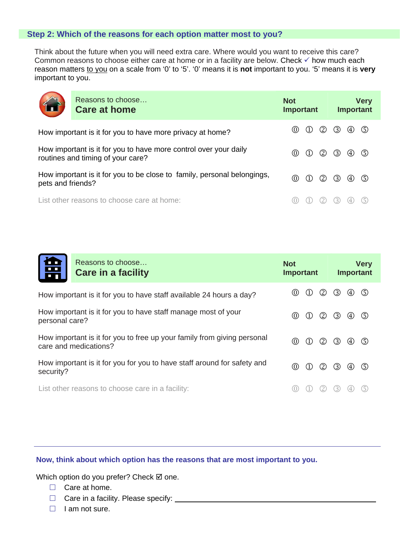### **Step 2: Which of the reasons for each option matter most to you?**

Think about the future when you will need extra care. Where would you want to receive this care? Common reasons to choose either care at home or in a facility are below. Check  $\checkmark$  how much each reason matters to you on a scale from '0' to '5'. '0' means it is not important to you. '5' means it is very important to you.



Reasons to choose… **Care at home Not Important Very Important**  How important is it for you to have more privacy at home?  $\begin{pmatrix} 0 & \text{if } 0 \\ 0 & \text{if } 0 \end{pmatrix}$ How important is it for you to have more control over your daily Frow important is it for you to have more control over your daily<br>routines and timing of your care? How important is it for you to be close to family, personal belongings, pets and friends? List other reasons to choose care at home:  $(0)$  (1) (2) (3) (4) (5)

| Reasons to choose<br>岊<br>Care in a facility                                                     | <b>Not</b><br><b>Important</b>           | <b>Very</b><br><b>Important</b> |  |  |
|--------------------------------------------------------------------------------------------------|------------------------------------------|---------------------------------|--|--|
| How important is it for you to have staff available 24 hours a day?                              | (2)<br>(0)<br>(1)                        | $\circled{3}$<br>(5)<br>(4)     |  |  |
| How important is it for you to have staff manage most of your<br>personal care?                  | (2)<br>$\circled{0}$<br>$\left(1\right)$ | $\circled{3}$<br>(5)<br>(4)     |  |  |
| How important is it for you to free up your family from giving personal<br>care and medications? | (2)<br>$\circled{0}$<br>(1)              | $\circled{3}$<br>(5)<br>(4)     |  |  |
| How important is it for you for you to have staff around for safety and<br>security?             | $\circledD$<br>(2)<br>$\left( 1\right)$  | $\circled{3}$<br>(5)<br>(4)     |  |  |
| List other reasons to choose care in a facility:                                                 |                                          |                                 |  |  |

### **Now, think about which option has the reasons that are most important to you.**

Which option do you prefer? Check  $\boxtimes$  one.

- $\Box$  Care at home.
- $\Box$  Care in a facility. Please specify:
- $\Box$  I am not sure.